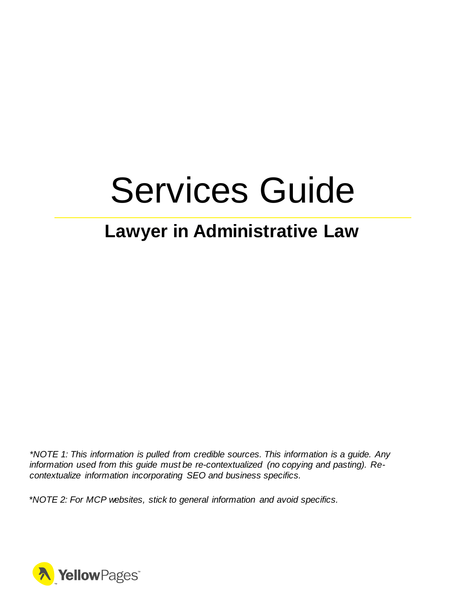# Services Guide

### **Lawyer in Administrative Law**

*\*NOTE 1: This information is pulled from credible sources. This information is a guide. Any information used from this guide must be re-contextualized (no copying and pasting). Recontextualize information incorporating SEO and business specifics.*

*\*NOTE 2: For MCP websites, stick to general information and avoid specifics.*

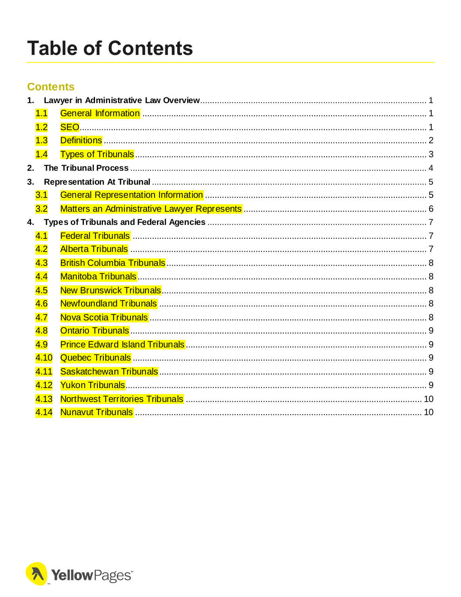## <span id="page-1-0"></span>**Table of Contents**

### **Contents**

| 1. |      |  |  |  |
|----|------|--|--|--|
|    | 1.1  |  |  |  |
|    | 1.2  |  |  |  |
|    | 1.3  |  |  |  |
|    | 1.4  |  |  |  |
| 2. |      |  |  |  |
| 3. |      |  |  |  |
|    | 3.1  |  |  |  |
|    | 3.2  |  |  |  |
| 4. |      |  |  |  |
|    | 4.1  |  |  |  |
|    | 4.2  |  |  |  |
|    | 4.3  |  |  |  |
|    | 4.4  |  |  |  |
|    | 4.5  |  |  |  |
|    | 4.6  |  |  |  |
|    | 4.7  |  |  |  |
|    | 4.8  |  |  |  |
|    | 4.9  |  |  |  |
|    | 4.10 |  |  |  |
|    | 4.11 |  |  |  |
|    | 4.12 |  |  |  |
|    | 4.13 |  |  |  |
|    | 4.14 |  |  |  |
|    |      |  |  |  |

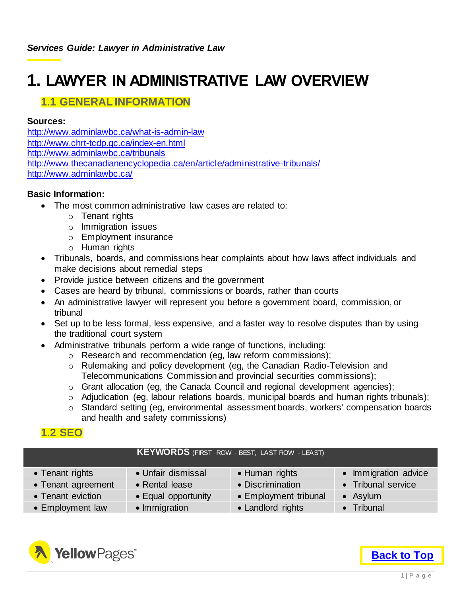### <span id="page-2-0"></span>**1. LAWYER IN ADMINISTRATIVE LAW OVERVIEW**

### <span id="page-2-1"></span>**1.1 GENERAL INFORMATION**

#### **Sources:**

<http://www.adminlawbc.ca/what-is-admin-law> <http://www.chrt-tcdp.gc.ca/index-en.html> <http://www.adminlawbc.ca/tribunals> <http://www.thecanadianencyclopedia.ca/en/article/administrative-tribunals/> <http://www.adminlawbc.ca/>

#### **Basic Information:**

- The most common administrative law cases are related to:
	- o Tenant rights
	- o Immigration issues
	- o Employment insurance
	- o Human rights
- Tribunals, boards, and commissions hear complaints about how laws affect individuals and make decisions about remedial steps
- Provide justice between citizens and the government
- Cases are heard by tribunal, commissions or boards, rather than courts
- An administrative lawyer will represent you before a government board, commission, or tribunal
- Set up to be less formal, less expensive, and a faster way to resolve disputes than by using the traditional court system
- Administrative tribunals perform a wide range of functions, including:
	- o Research and recommendation (eg, law reform commissions);
	- o Rulemaking and policy development (eg, the Canadian Radio-Television and Telecommunications Commission and provincial securities commissions);
	- o Grant allocation (eg, the Canada Council and regional development agencies);
	- o Adjudication (eg, labour relations boards, municipal boards and human rights tribunals);
	- o Standard setting (eg, environmental assessment boards, workers' compensation boards and health and safety commissions)

### <span id="page-2-2"></span>**1.2 SEO**

#### **KEYWORDS** (FIRST ROW - BEST, LAST ROW - LEAST)

| • Tenant rights    | • Unfair dismissal  | • Human rights        | • Immigration advice |
|--------------------|---------------------|-----------------------|----------------------|
| • Tenant agreement | • Rental lease      | • Discrimination      | • Tribunal service   |
| • Tenant eviction  | • Equal opportunity | • Employment tribunal | $\bullet$ Asylum     |
| • Employment law   | • Immigration       | • Landlord rights     | • Tribunal           |

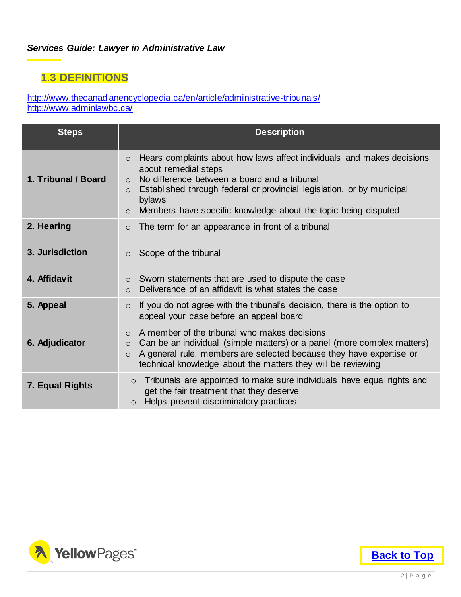### <span id="page-3-0"></span>**1.3 DEFINITIONS**

<http://www.thecanadianencyclopedia.ca/en/article/administrative-tribunals/> <http://www.adminlawbc.ca/>

| <b>Steps</b>        | <b>Description</b>                                                                                                                                                                                                                                                                                                                               |
|---------------------|--------------------------------------------------------------------------------------------------------------------------------------------------------------------------------------------------------------------------------------------------------------------------------------------------------------------------------------------------|
| 1. Tribunal / Board | Hears complaints about how laws affect individuals and makes decisions<br>$\circ$<br>about remedial steps<br>No difference between a board and a tribunal<br>$\circ$<br>Established through federal or provincial legislation, or by municipal<br>$\circ$<br>bylaws<br>Members have specific knowledge about the topic being disputed<br>$\circ$ |
| 2. Hearing          | The term for an appearance in front of a tribunal<br>$\circ$                                                                                                                                                                                                                                                                                     |
| 3. Jurisdiction     | Scope of the tribunal<br>$\circ$                                                                                                                                                                                                                                                                                                                 |
| 4. Affidavit        | Sworn statements that are used to dispute the case<br>$\circ$<br>Deliverance of an affidavit is what states the case<br>$\circ$                                                                                                                                                                                                                  |
| 5. Appeal           | If you do not agree with the tribunal's decision, there is the option to<br>$\circ$<br>appeal your case before an appeal board                                                                                                                                                                                                                   |
| 6. Adjudicator      | A member of the tribunal who makes decisions<br>$\Omega$<br>Can be an individual (simple matters) or a panel (more complex matters)<br>$\circ$<br>A general rule, members are selected because they have expertise or<br>$\circ$<br>technical knowledge about the matters they will be reviewing                                                 |
| 7. Equal Rights     | Tribunals are appointed to make sure individuals have equal rights and<br>$\circ$<br>get the fair treatment that they deserve<br>Helps prevent discriminatory practices<br>O                                                                                                                                                                     |



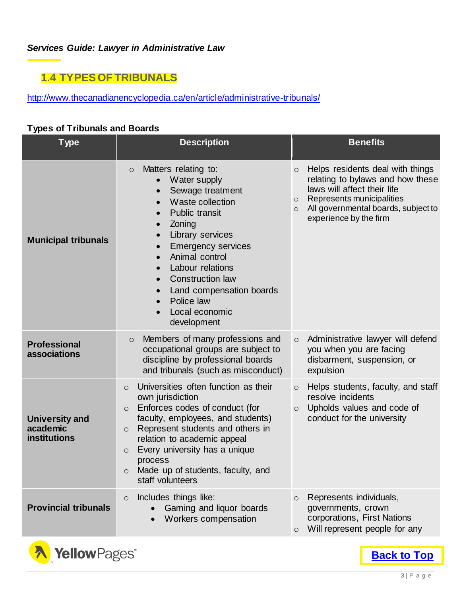### <span id="page-4-0"></span>**1.4 TYPES OF TRIBUNALS**

<http://www.thecanadianencyclopedia.ca/en/article/administrative-tribunals/>

### **Types of Tribunals and Boards**

| <b>Type</b>                                       | <b>Description</b>                                                                                                                                                                                                                                                                                                                                                                             | <b>Benefits</b>                                                                                                                                                                                                                    |
|---------------------------------------------------|------------------------------------------------------------------------------------------------------------------------------------------------------------------------------------------------------------------------------------------------------------------------------------------------------------------------------------------------------------------------------------------------|------------------------------------------------------------------------------------------------------------------------------------------------------------------------------------------------------------------------------------|
| <b>Municipal tribunals</b>                        | Matters relating to:<br>$\circ$<br>Water supply<br>$\bullet$<br>Sewage treatment<br>$\bullet$<br>Waste collection<br>Public transit<br>Zoning<br>Library services<br>$\bullet$<br><b>Emergency services</b><br>$\bullet$<br>Animal control<br>Labour relations<br>$\bullet$<br><b>Construction law</b><br>Land compensation boards<br>$\bullet$<br>Police law<br>Local economic<br>development | Helps residents deal with things<br>$\circ$<br>relating to bylaws and how these<br>laws will affect their life<br>Represents municipalities<br>$\circ$<br>All governmental boards, subject to<br>$\circ$<br>experience by the firm |
| <b>Professional</b><br>associations               | Members of many professions and<br>$\circ$<br>occupational groups are subject to<br>discipline by professional boards<br>and tribunals (such as misconduct)                                                                                                                                                                                                                                    | Administrative lawyer will defend<br>$\circ$<br>you when you are facing<br>disbarment, suspension, or<br>expulsion                                                                                                                 |
| <b>University and</b><br>academic<br>institutions | Universities often function as their<br>$\circ$<br>own jurisdiction<br>Enforces codes of conduct (for<br>$\circ$<br>faculty, employees, and students)<br>Represent students and others in<br>$\circ$<br>relation to academic appeal<br>Every university has a unique<br>$\circ$<br>process<br>Made up of students, faculty, and<br>$\circ$<br>staff volunteers                                 | Helps students, faculty, and staff<br>$\circ$<br>resolve incidents<br>Upholds values and code of<br>$\circ$<br>conduct for the university                                                                                          |
| <b>Provincial tribunals</b>                       | Includes things like:<br>$\circ$<br>Gaming and liquor boards<br>Workers compensation                                                                                                                                                                                                                                                                                                           | Represents individuals,<br>$\circ$<br>governments, crown<br>corporations, First Nations<br>Will represent people for any<br>$\circ$                                                                                                |

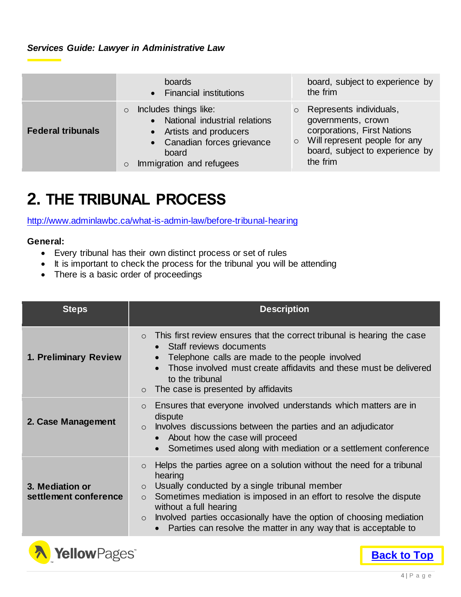|                          | boards<br>• Financial institutions                                                                                                                                                       | board, subject to experience by<br>the frim                                                                                                                                        |
|--------------------------|------------------------------------------------------------------------------------------------------------------------------------------------------------------------------------------|------------------------------------------------------------------------------------------------------------------------------------------------------------------------------------|
| <b>Federal tribunals</b> | Includes things like:<br>$\circ$<br>National industrial relations<br>$\bullet$<br>• Artists and producers<br>• Canadian forces grievance<br>board<br>Immigration and refugees<br>$\circ$ | Represents individuals,<br>$\circ$<br>governments, crown<br>corporations, First Nations<br>Will represent people for any<br>$\circ$<br>board, subject to experience by<br>the frim |

### <span id="page-5-0"></span>**2. THE TRIBUNAL PROCESS**

<http://www.adminlawbc.ca/what-is-admin-law/before-tribunal-hearing>

### **General:**

- Every tribunal has their own distinct process or set of rules
- It is important to check the process for the tribunal you will be attending
- There is a basic order of proceedings

| <b>Steps</b>                             | <b>Description</b>                                                                                                                                                                                                                                                                                                                                                                                                      |  |  |
|------------------------------------------|-------------------------------------------------------------------------------------------------------------------------------------------------------------------------------------------------------------------------------------------------------------------------------------------------------------------------------------------------------------------------------------------------------------------------|--|--|
| 1. Preliminary Review                    | This first review ensures that the correct tribunal is hearing the case<br>$\Omega$<br>Staff reviews documents<br>$\bullet$<br>Telephone calls are made to the people involved<br>$\bullet$<br>Those involved must create affidavits and these must be delivered<br>to the tribunal<br>The case is presented by affidavits<br>$\circ$                                                                                   |  |  |
| 2. Case Management                       | Ensures that everyone involved understands which matters are in<br>$\circ$<br>dispute<br>Involves discussions between the parties and an adjudicator<br>$\circ$<br>About how the case will proceed<br>$\bullet$<br>Sometimes used along with mediation or a settlement conference                                                                                                                                       |  |  |
| 3. Mediation or<br>settlement conference | Helps the parties agree on a solution without the need for a tribunal<br>$\circ$<br>hearing<br>Usually conducted by a single tribunal member<br>$\circ$<br>Sometimes mediation is imposed in an effort to resolve the dispute<br>$\circ$<br>without a full hearing<br>Involved parties occasionally have the option of choosing mediation<br>$\circ$<br>Parties can resolve the matter in any way that is acceptable to |  |  |



**[Back to Top](#page-1-0)**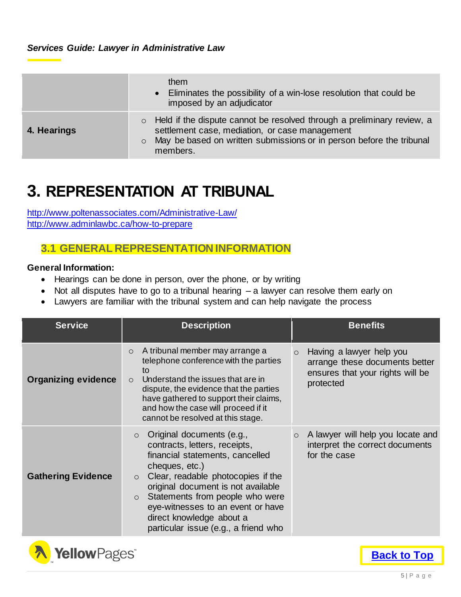|             | them<br>• Eliminates the possibility of a win-lose resolution that could be<br>imposed by an adjudicator                                                                                                                           |
|-------------|------------------------------------------------------------------------------------------------------------------------------------------------------------------------------------------------------------------------------------|
| 4. Hearings | Held if the dispute cannot be resolved through a preliminary review, a<br>$\circ$<br>settlement case, mediation, or case management<br>May be based on written submissions or in person before the tribunal<br>$\circ$<br>members. |

### <span id="page-6-0"></span>**3. REPRESENTATION AT TRIBUNAL**

<http://www.poltenassociates.com/Administrative-Law/> <http://www.adminlawbc.ca/how-to-prepare>

### <span id="page-6-1"></span>**3.1 GENERAL REPRESENTATION INFORMATION**

### **General Information:**

- Hearings can be done in person, over the phone, or by writing
- Not all disputes have to go to a tribunal hearing a lawyer can resolve them early on
- Lawyers are familiar with the tribunal system and can help navigate the process

| <b>Service</b>             | <b>Description</b>                                                                                                                                                                                                                                                                                                                                                        | <b>Benefits</b>                                                                                                        |  |
|----------------------------|---------------------------------------------------------------------------------------------------------------------------------------------------------------------------------------------------------------------------------------------------------------------------------------------------------------------------------------------------------------------------|------------------------------------------------------------------------------------------------------------------------|--|
| <b>Organizing evidence</b> | A tribunal member may arrange a<br>$\circ$<br>telephone conference with the parties<br>to<br>Understand the issues that are in<br>$\circ$<br>dispute, the evidence that the parties<br>have gathered to support their claims,<br>and how the case will proceed if it<br>cannot be resolved at this stage.                                                                 | Having a lawyer help you<br>$\circ$<br>arrange these documents better<br>ensures that your rights will be<br>protected |  |
| <b>Gathering Evidence</b>  | Original documents (e.g.,<br>$\Omega$<br>contracts, letters, receipts,<br>financial statements, cancelled<br>cheques, etc.)<br>Clear, readable photocopies if the<br>$\circ$<br>original document is not available<br>Statements from people who were<br>$\circ$<br>eye-witnesses to an event or have<br>direct knowledge about a<br>particular issue (e.g., a friend who | A lawyer will help you locate and<br>$\circ$<br>interpret the correct documents<br>for the case                        |  |

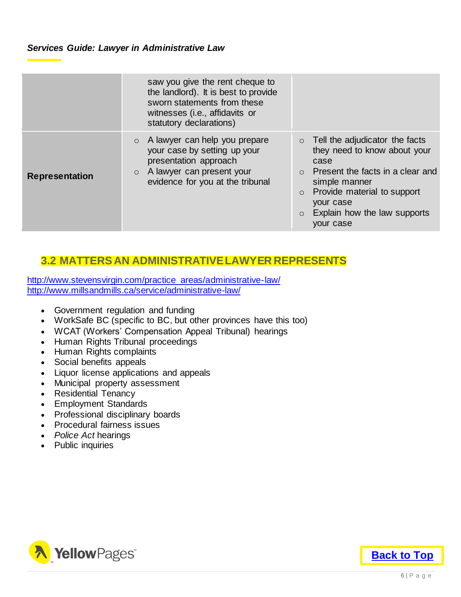|                       | saw you give the rent cheque to<br>the landlord). It is best to provide<br>sworn statements from these<br>witnesses (i.e., affidavits or<br>statutory declarations)           |                                                                                                                                                                                                                                             |
|-----------------------|-------------------------------------------------------------------------------------------------------------------------------------------------------------------------------|---------------------------------------------------------------------------------------------------------------------------------------------------------------------------------------------------------------------------------------------|
| <b>Representation</b> | A lawyer can help you prepare<br>$\circ$<br>your case by setting up your<br>presentation approach<br>A lawyer can present your<br>$\circ$<br>evidence for you at the tribunal | Tell the adjudicator the facts<br>$\circ$<br>they need to know about your<br>case<br>Present the facts in a clear and<br>$\Omega$<br>simple manner<br>Provide material to support<br>your case<br>Explain how the law supports<br>your case |

### <span id="page-7-0"></span>**3.2 MATTERS AN ADMINISTRATIVE LAWYER REPRESENTS**

[http://www.stevensvirgin.com/practice\\_areas/administrative-law/](http://www.stevensvirgin.com/practice_areas/administrative-law/) <http://www.millsandmills.ca/service/administrative-law/>

- Government regulation and funding
- WorkSafe BC (specific to BC, but other provinces have this too)
- WCAT (Workers' Compensation Appeal Tribunal) hearings
- Human Rights Tribunal proceedings
- Human Rights complaints
- Social benefits appeals
- Liquor license applications and appeals
- Municipal property assessment
- Residential Tenancy
- Employment Standards
- Professional disciplinary boards
- Procedural fairness issues
- *Police Act* hearings
- Public inquiries



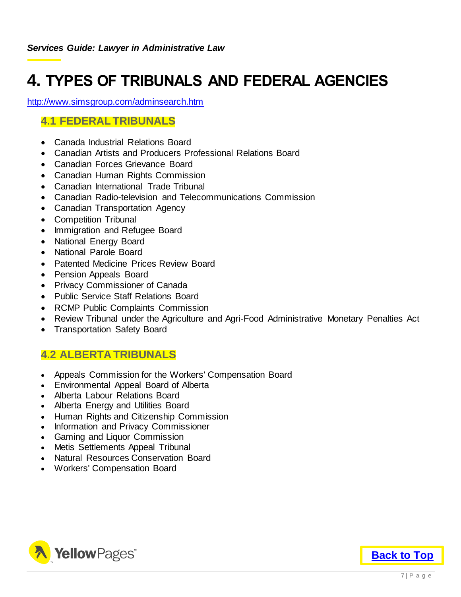### <span id="page-8-0"></span>**4. TYPES OF TRIBUNALS AND FEDERAL AGENCIES**

<http://www.simsgroup.com/adminsearch.htm>

### <span id="page-8-1"></span>**4.1 FEDERAL TRIBUNALS**

- Canada Industrial Relations Board
- Canadian Artists and Producers Professional Relations Board
- Canadian Forces Grievance Board
- Canadian Human Rights Commission
- Canadian International Trade Tribunal
- Canadian Radio-television and Telecommunications Commission
- Canadian Transportation Agency
- Competition Tribunal
- Immigration and Refugee Board
- National Energy Board
- National Parole Board
- Patented Medicine Prices Review Board
- Pension Appeals Board
- Privacy Commissioner of Canada
- Public Service Staff Relations Board
- RCMP Public Complaints Commission
- Review Tribunal under the Agriculture and Agri-Food Administrative Monetary Penalties Act
- Transportation Safety Board

### <span id="page-8-2"></span>**4.2 ALBERTA TRIBUNALS**

- Appeals Commission for the Workers' Compensation Board
- Environmental Appeal Board of Alberta
- Alberta Labour Relations Board
- Alberta Energy and Utilities Board
- Human Rights and Citizenship Commission
- Information and Privacy Commissioner
- Gaming and Liquor Commission
- Metis Settlements Appeal Tribunal
- Natural Resources Conservation Board
- Workers' Compensation Board

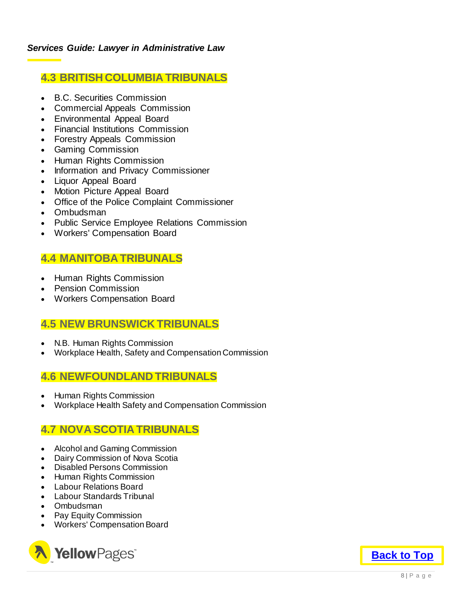### <span id="page-9-0"></span>**4.3 BRITISH COLUMBIA TRIBUNALS**

- B.C. Securities Commission
- Commercial Appeals Commission
- Environmental Appeal Board
- Financial Institutions Commission
- Forestry Appeals Commission
- Gaming Commission
- Human Rights Commission
- Information and Privacy Commissioner
- Liquor Appeal Board
- Motion Picture Appeal Board
- Office of the Police Complaint Commissioner
- Ombudsman
- Public Service Employee Relations Commission
- Workers' Compensation Board

### <span id="page-9-1"></span>**4.4 MANITOBA TRIBUNALS**

- Human Rights Commission
- Pension Commission
- Workers Compensation Board

### <span id="page-9-2"></span>**4.5 NEW BRUNSWICK TRIBUNALS**

- N.B. Human Rights Commission
- Workplace Health, Safety and Compensation Commission

### <span id="page-9-3"></span>**4.6 NEWFOUNDLAND TRIBUNALS**

- Human Rights Commission
- Workplace Health Safety and Compensation Commission

### <span id="page-9-4"></span>**4.7 NOVA SCOTIA TRIBUNALS**

- Alcohol and Gaming Commission
- Dairy Commission of Nova Scotia
- Disabled Persons Commission
- Human Rights Commission
- Labour Relations Board
- Labour Standards Tribunal
- Ombudsman
- Pay Equity Commission
- Workers' Compensation Board



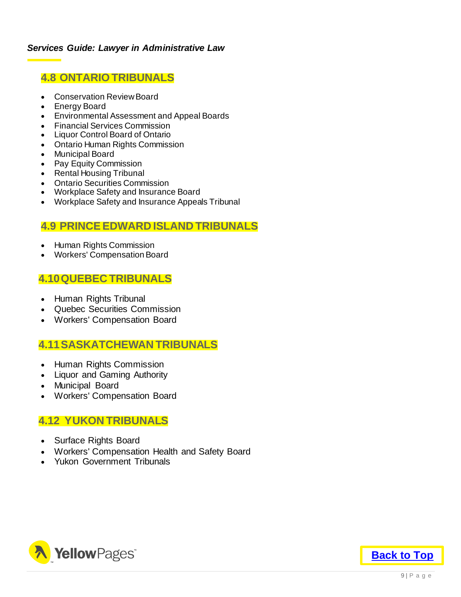### <span id="page-10-0"></span>**4.8 ONTARIO TRIBUNALS**

- Conservation Review Board
- Energy Board
- Environmental Assessment and Appeal Boards
- Financial Services Commission
- Liquor Control Board of Ontario
- Ontario Human Rights Commission
- Municipal Board
- Pay Equity Commission
- Rental Housing Tribunal
- Ontario Securities Commission
- Workplace Safety and Insurance Board
- Workplace Safety and Insurance Appeals Tribunal

### <span id="page-10-1"></span>**4.9 PRINCE EDWARD ISLAND TRIBUNALS**

- Human Rights Commission
- Workers' Compensation Board

### <span id="page-10-2"></span>**4.10QUEBEC TRIBUNALS**

- Human Rights Tribunal
- Quebec Securities Commission
- Workers' Compensation Board

### <span id="page-10-3"></span>**4.11SASKATCHEWAN TRIBUNALS**

- Human Rights Commission
- Liquor and Gaming Authority
- Municipal Board
- Workers' Compensation Board

### <span id="page-10-4"></span>**4.12 YUKON TRIBUNALS**

- Surface Rights Board
- Workers' Compensation Health and Safety Board
- Yukon Government Tribunals